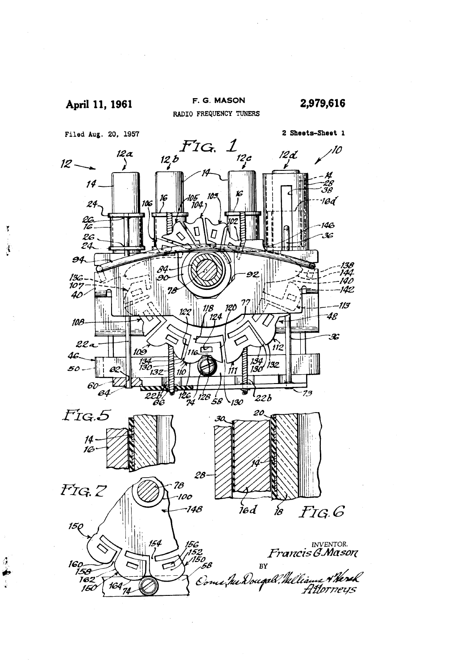

š

Ä

 $\frac{d}{dt}$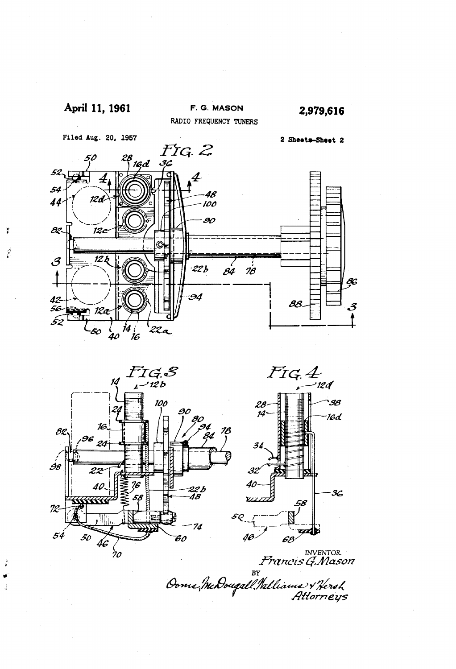

 $\mathbf{r}$ 

Î

 $\tilde{\mathbf{z}}$ 

Ĵ



INVENTOR<br>Francis G.Mason<br>Oome, McDougall. Milliams & Nersh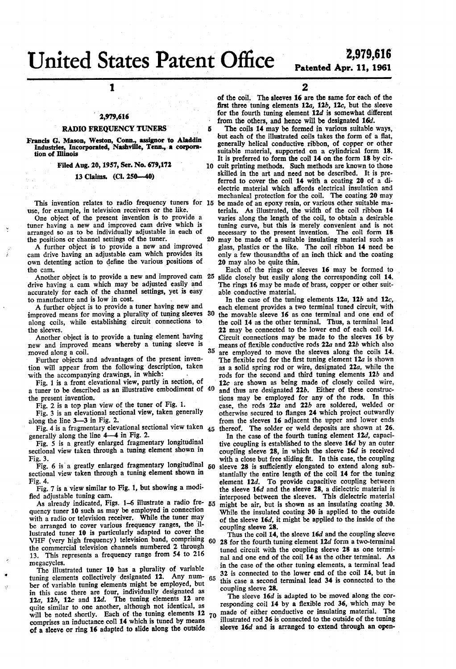# United States Patent Office ICC

Б

# 2,979,616 Patented Apr. 11, 1961

1

## 2,979,616

#### RADIO FREQUENCY TUNERS

Francis G. Mason, Weston, Conn., assigner to Aladdin Industries, Incorporated, Nashville, Tenn., a corporation of Illinois `

### ' 'Filed Aug. 20, 1957, Ser. No. 679,172

#### 13 Claims. (Cl. Z50-40)

This invention relates to radio frequency tuners for 15 use, for example, in television receivers or the like.

tuner having a new and improved cam drive which is arranged so as to be individually adjustable in each of the positions or channel settings of the tuner. 20

A further object is to provide a new and improved cam drive having an adjustable cam which provides its own detenting action to deñne the various positions'of the cam.

Another object is to provide a new and improved cam 25 drive having a cam which may be adjusted easily and accurately for each of the channel settings, yet is easy to manufacture and is low in cost.

A further object is to provide a tuner having new and improved means for moving a plurality of tuning sleeves 30 along coils, while establishing circuit connections to

the sleeves.<br>Another object is to provide a tuning element having new and improved means whereby a tuning sleeve is moved along a coil.

Further objects and advantages of the present inven tion will appear from the following description, taken

with the accompanying drawings, in which:<br>Fig. 1 is a front elevational view, partly in section, of Fig. 1 is a front elevational view, partly in section, of a tuner to be described as an illustrative embodiment of 40 the present invention.

Fig. 2 is a top plan view of the tuner of Fig. 1.

Fig. 3 is an elevational sectional view, taken generally along the line 3-3 in Fig. 2.

Fig. 4 is a fragmentary elevational sectional view taken  $_{45}$ generally along the line  $4-4$  in Fig. 2.

Fig. 5 is a greatly enlarged fragmentary longitudinal sectional view taken through a tuning element shown in Fig. 3.

Fig. 6 is a greatly enlarged fragmentary longitudinal  $50$ sectional view taken through a tuning element shown in Fig. 4.

Fig. 7 is a view similar to Fig. 1, but showing a modi

fied adjustable tuning cam.<br>As already indicated, Figs. 1–6 illustrate a radio fre- 55 quency tuner 10 such as may be employed in connection with a radio or television receiver. While the tuner may be arranged to cover various frequency ranges, the il lustrated tuner 10 is particularly adapted to cover the VHF (very high frequency) television band, comprising 60 the commercial television channels numbered 2 through 13. This represents a frequency range from 54 to 216 megacycles.

The illustrated tuner 10 has a plurality of variable tuning elements collectively designated 12. Any number of variable tuning elements might be employed, but in this case there are four, individually designated as  $12a$ ,  $12b$ ,  $12c$  and  $12d$ . The tuning elements 12 are quite similar to one another, although not identical, as will be noted shortly. Each of the tuning elements 12 comprises an inductance coil 14 which is tuned by means of a sleeve or ring 16 adapted to slide along the outside 65 70 2

of the coil. The sleeves 16 are the same for each of the ñrst three tuning elements 12a, 12b, 12e, but the sleeve for the fourth tuning element 12d is somewhat different from the others, and hence will be designated 16d.

The coils 14 may be formed in various suitable ways, but each of the illustrated coils takes the form of a flat, generally helical conductive ribbon, of copper or other suitable material, supported on a cylindrical form 18. It is preferred to form the coil 14 on the form 18 by cir 10 cuit printing methods. Such methods are known to those skilled in the art and need not be described. It is pre ferred to cover the coil 14 with a coating 20 of a di electric material which affords electrical insulation and mechanical protection for the coil. The coating 20 may be made of an epoxy resin, or various other suitable ma terials. As illustrated, the width of the coil ribbon 14 varies along the length of the coil, to obtain a desirable tuning curve, but this is merely convenient and is not necessary to the present invention. The coil form 18 may be made of a suitable insulating material such as glass, plastics or the like. The coil ribbon 14 need be only a few thousandths of an inch thick and the coating 20 may also be quite thin.

Each of the rings or sleeves 16 may be formed to slide closely but easily along the corresponding coil 14. The rings 16 may be made of brass, copper or other suit able conductive material.

35 are employed to move the sleeves along the coils 14. In the case of the tuning elements  $12a$ ,  $12b$  and  $12c$ , each element provides a two terminal tuned circuit, with the movable sleeve 16 as one terminal and one end of the coil 14 as the other terminal. Thus, a terminal lead 22 may be connected to the lower end of each coil 14. means of flexible conductive rods  $22a$  and  $22b$  which also are employed to move the sleeves along the coils 14.<br>The flexible rod for the first tuning element  $12a$  is shown as a solid spring rod or wire, designated 22a, while the rods for the second and third tuning elements  $12b$  and 12c are shown as being made of closely coiled wire, and thus are designated 22b. Either of these construc tions may be employed for any of the rods. In this case, the rods  $22a$  and  $22b$  are soldered, welded or otherwise secured to flanges 24 which project outwardly from the sleeves 16 adjacent the upper and lower ends thereof. The solder or weld deposits are shown at 26.

In the case of the fourth tuning element 12d, capacitive coupling is established to the sleeve 16d by an outer coupling sleeve 28, in which the sleeve 16d is received with a close but free sliding ñt. In this case, the coupling sleeve 28 is sufficiently elongated to extend along substantially the entire length of the coil 14 for the tuning element 12d. To provide capacitive coupling between the sleeve 16d and the sleeve 28, a dielectric material is interposed between the sleeves. This dielectric material might be air, but-is shown as an insulating coating 30. While the insulated coating 30 is applied to the outside of the sleeve 16d, it might be applied to the inside of the coupling sleeve 28.

Thus the coil 14, the sleeve 16d and the coupling sleeve 28 for the fourth tuning element 12d form a two-terminal tuned circuit with the coupling sleeve 28 as one termi nal and one end of the coil 14 as the other terminal. As in the case of the other tuning elements, a terminal lead 32 is connected to the lower end of the coil 14, but in this case a second terminal lead 34 is connected to the coupling sleeve 28.

The sleeve 16d is adapted to be moved along the cor responding coil 14 by a flexible rod 36, which may be made of either conductive or insulating material. The made of either conductive or insulating material. illustrated rod 36 is'connected to the outside of the tuning sleeve 16d and is arranged to extend through an open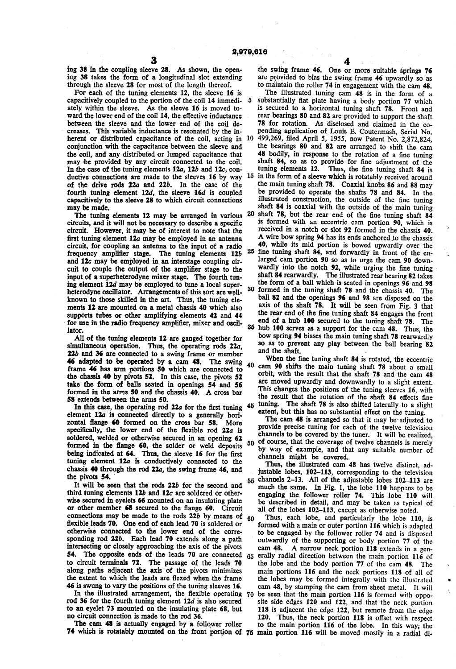ing 38 in the coupling sleeve 28. As shown, the open ing 38 takes the form of a longitudinal slot extending through the sleeve 28 for most of the length thereof.

For each of the tuning elements 12, the sleeve 16 is capacitively coupled to the portion of the coil 14 immedi ately within the sleeve. As the sleeve 16 is moved to ward the lower end of the coil 14, the effective inductance between the sleeve and the lower end of the coil decreases. This variable inductance is resonated by the inherent or distributed capacitance of the coil, acting in 10 conjunction with the capacitance between the sleeve and the coil, and any distributed or lumped capacitance that may be provided by any circuit connected to the coil. In the case of the tuning elements  $12a$ ,  $12b$  and  $12c$ , conof the drive rods 22a and 22b. In the case of the fourth tuning element  $12d$ , the sleeve  $16d$  is coupled capacitively to the sleeve 28 to which circuit connections may be made.

The tuning elements 12 may be arranged in various  $20$ circuits, and it will not be necessary to describe a specific circuit. However, it may be of interest to note that the first tuning element 12a may be employed in an antenna circuit, for coupling an antenna to the input of a radio frequency amplifier stage. The tuning elements 12b and 12e may be employed in an interstage coupling cir cuit to couple the output of the amplifier stage to the input of a superheterodyne mixer stage. The fourth tun ing element 12d may be employed to tune a local super heterodyne oscillator. Arrangements of this sort are well known to those skilled in the art. Thus, the tuning ele ments 12 are mounted on a metal chassis 40 which also supports tubes or other amplifying elements 42 and 44 for use in the radio frequency amplifier, mixer and oscillator.

All of the tuning elements 12 are ganged together for simultaneous operation. Thus, the operating rods 22a, 22b and 36 are connected to a swing frame or member 46 adapted to be operated by a cam 48. The swing frame 46 has arm portions 50 which are connected to the chassis 40 by pivots 52. In this case, the pivots 52 take the form of balls seated in openings 54 and 56 formed in the arms 50 and the chassis 40. A cross bar 58 extends between the arms 50.

In this case, the operating rod 22a for the first tuning element 12a is connected directly to a generally hori zontal flange 60 formed on the cross bar 58. More specifically, the lower end of the flexible rod 22a is soldered, welded or otherwise secured in an opening 62 formed in the flange 60, the solder or weld deposits being indicated at 64. Thus, the sleeve 16 for the first tuning element 12a is conductively connected to the chassis 40 through the rod 22a, the swing frame 46, and the pivots 54.

It will be seen that the rods 22b for the second and third tuning elements 12b and 12c are soldered or otherwise secured in eyelets 66 mounted on an insulating plate or other member 68 secured to the flange 60. Circuit connections may be made to the rods  $22b$  by means of flexible leads 70. One end of each lead 70 is soldered or otherwise connected to the lower end of the corre-sponding rod  $22b$ . Each lead 70 extends along a path intersecting or closely approaching the axis of the pivots to circuit terminals 72. The passage of the leads 70 along paths adjacent the axis of the pivots minimizes the extent to which the leads are flexed when the frame 46 is swung to vary the positions of the tuning sleeves 16. 60

In the illustrated arrangement, the flexible operating 70 rod 36 for the fourth tuning element 12d is also secured to an eyelet 73 mounted on the insulating plate 68, but no circuit connection is made to the rod 36.

The cam 48 is actually engaged by a follower roller

are provided to bias the swing frame 46 upwardly so as to maintain the roller 74 in engagement with the cam 48. the swing frame 46. One or more suitable springs 76

The illustrated tuning cam 48 is in the form of a 5 substantially flat plate having a body portion 77 which is secured to a horizontal tuning shaft 78. Front and rear bearings 80 and 82 are provided to support the shaft 78 for rotation. As disclosed and claimed in the co-pending application of Louis E. Coutermash, Serial No. 499,269, filed April 5, 1955, now Patent No. 2,872,824, the bearings 80 and 82 are arranged to shift the cam 48 bodily, in response to the rotation of a fine tuning shaft 84, so as to provide for fine adjustment of the tuning elements 12. Thus, the fine tuning shaft 84 is In the case of the tuning elements 12a, 12b and 12c, con-<br>ductive connections are made to the sleeves 16 by way  $15$  in the form of a sleeve which is rotatably received around the main tuning shaft 78. Coaxial knobs 86 and 88 may be provided to operate the shafts 78 and 84. In the illustrated construction, the outside of the fine tuning shaft 84 is coaxial with the outside of the main tuning shaft 78, but the rear-end of the fine tuning shaft  $84$ is formed with an eccentric cam portion 90, which is received in a notch or slot 92 formed in the chassis 40. A wire bow spring 94 has its ends anchored to the chassis 40, while its mid portion is bowed upwardly over the 25 fine tuning shaft 84, and forwardly in front of the enlarged cam portion 90 so as to urge the cam 90 down-wardly into the notch 92, while urging the fine tuning shaft 84 rearwardly. The illustrated rear bearing 82 takes the form of a ball which is seated in openings 96 and 98 30 formed in the tuning shaft 78 and the chassis 40. The ball 82 and the openings 96 and 98 are disposed on the axis of the shaft 78. It will be seen from Fig. 3 that the rear end of the fine tuning shaft 84 engages the front end of a hub 100 secured to the tuning shaft 78. The 35 hub 100 serves as a support for the cam 48. Thus, the bow spring 94 biases the main tuning shaft 78 rearwardly so as to prevent any play between the ball bearing 82 and the shaft.

> 40 45 When the fine tuning shaft 84 is rotated, the eccentric cam 90 shifts the main tuning shaft 78 about a small orbit, with the result that the shaft 78 and the cam 48 are moved upwardly and downwardly to a slight extent. This changes the positions of the tuning sleeves 16, with the result that the rotation of the shaft 84 effects fine tuning. The shaft 78 is also shifted laterally to a slight

50 of course, that the coverage of twelve channels is merely extent, but this has no substantial effect on the tuning. The cam 48 is arranged so that it may be adjusted to provide precise tuning for each of the twelve television channels to be covered by the tuner. It will be realized, by way of example, and that any suitable number of channels might be covered.

55 channels 2-13. All of the adjustable lobes 102-113 are Thus, the illustrated cam 48 has twelve distinct, adjustable lobes, 102-113, corresponding to the television much the same. In Fig. 1, the lobe 110 happens to be engaging the follower roller 74. This lobe 110 will be described in detail, and may be taken as typical of all of the lobes 102-113, except as otherwise noted.

54. The opposite ends of the leads 70 are connected  $65$  erally radial direction between the main portion 116 of 74 which is rotatably mounted on the front portion of 75 main portion 116 will be moved mostly in a radial di Thus, each lobe, and particularly the lobe 110, is formed with a main or outer portion 116 which is adapted to be engaged by the follower roller 74 and is disposed outwardly of the supporting or body portion 77 of the cam 48. A narrow neck portion 118 extends in a gen the lobe and the body portion- 77 of the cam 48. The main portions 116 and the neck portions 118 of all of the lobes may be formed integrally with the illustrated cam 48, by stamping the cam from'sheet metal. It will be seen that the main portion 116 is formed with oppo site side edges 120 and 122, and that the neck portion 118 is adjacent the edge 122, but remote from the edge 120. Thus, the neck portion 118 is offset with respect to the main portion 116 of the lobe. In this way, the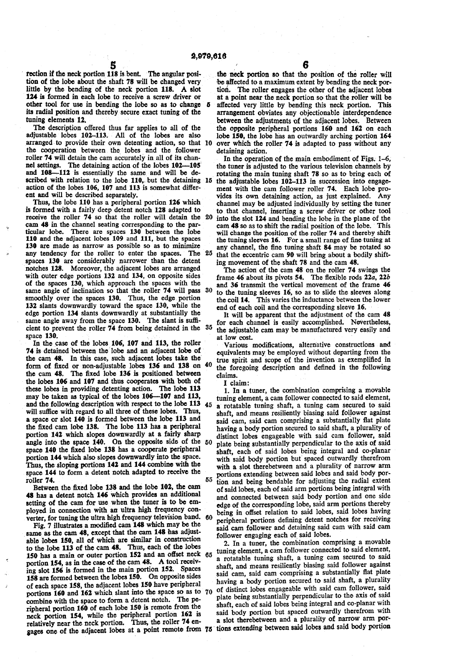Б

rection if the neck portion 118 is bent. The angular position of the lobe about the shaft 78 will be changed very little by the bending of the neck portion 118. A slot 124 is formed in each lobe to receive a screw driver or other tool for use in bending the lobe so as to change its radial position and thereby secure exact tuning of the tuning elements 12.

The description offered thus far applies to all of the adjustable lobes 102-113. All of the lobes are also arranged to provide their own detenting action, so that 10 the cooperation between the lobes and the follower roller 74 will detain the cam accurately in all of its chan nel settings. The detaining action of the lobes 102-105 and 108-112 is essentially the same and will be de scribed with relation to the lobe  $110$ , but the detaining  $15$ action of the lobes 106, 107 and 113 is somewhat differ ent and will be described separately.

Thus, the lobe 110 has a peripheral portion 126 which is formed with a fairly deep detent notch 128 adapted to receive the roller 74 so that the roller will detain the cam 48 in the channel seating corresponding to the particular lobe. There are spaces 130 between the lobe 110 and the adjacent lobes 109 and 111, but the spaces 130 are made as narrow as possible so as to minimize any tendency for the roller to enter the spaces. The spaces 130 are considerably narrower than the detent notches 128. Moreover, the adjacent lobes are arranged with outer edge portions 132 and 134, on opposite sides of the spaces 130, which approach the spaces with the same angle of inclination so that the roller 74 will pass smoothly over the spaces 130. Thus, the edge portion 132 slants downwardly toward the space 130, while the edge portion 134 slants downwardly at substantially the same angle away from the space 130. The slant is sufficient to prevent the roller 74 from being detained in the  $35$  space 130. 25 30

In the case of the lobes 106, 107 and 113, the roller 74 is detained between the lobe and an adjacent lobe of the cam 48. In this case, such adjacent lobes take the form of fixed or non-adjustable lobes 136 and 138 on 40 the cam 48. The fixed lobe 136 is positioned between the lobes 106 and 107 and thus cooperates with both of these lobes in providing detenting action. The lobe 113 may be taken as typical of the lobes 106-107 and 113, and the following description with respect to the lobe 113 45 will sutlice with regard to all three of these lobes. Thus, a space or slot 140 is formed between the lobe 113 and the fixed cam lobe 138. The lobe 113 has a peripheral portion 142 which slopes downwardly at a fairly sharp angle into the space 140. On the opposite side of the space 140 the fixed lobe 138 has a cooperate peripheral portion 144 which also slopes downwardly into the space. Thus, the sloping portions 142 and 144 combine with the space 144 to form a detent notch adapted to receive the 55

roller 74.<br>Between the fixed lobe 138 and the lobe 102, the cam 48 has a detent notch 146 which provides an additional setting of the cam for use when the tuner is to be em ployed in connection with an ultra high frequency con

verter, for tuning the ultra high frequency television band.<br>Fig. 7 illustrates a modified cam 148 which may be the same as the cam 48, except that the cam 148 has adjustable lobes 150, all of which are similar in construction to the lobe 113 of the cam 48. Thus, each of the lobes 150 has a main or outer portion 152 and an oñset neck portion 154, as in the case of the cam 48. A tool receiv ing slot 156 is formed in the main portion 152. Spaces 158 are formed between the lobes 150. On opposite sides of each space 158, the adjacent lobes 150 have peripheral portions 160 and 162 which slant into the space so as to 70 combine with the space to form a detent notch. The pe ripheral portion 160 of each lobe 150 is remote from the neck portion 154, while the peripheral portion 162 is relatively near the neck portion. Thus, the roller 74 en gages one of the adjacent lobes at a point remote from  $\gamma$ 65

the neck portion so that the position of the roller will be affected to a maximum extent by bending the neck portion. The roller engages the other of the adjacent lobes at a point near the neck portion so that the roller will be affected very little by bending this neck portion. This arrangement obviates any objectionable interdependence between the adjustments of the adjacent lobes. Between the opposite peripheral portions 160 and 162 on each lobe 150, the lobe has an outwardly arching portion 164 over which the roller 74 is adapted to pass without any detaining action.

20 into the slot 124 and bending the lobe in the plane of the In the operation of the main embodiment of Figs. 1-6, the tuner is adjusted to the various television channels by rotating the main tuning shaft 78 so as to bring each of the adjustable lobes 102-113 in succession into engage ment with the cam follower roller 74. Each lobe pro vides its own detaining action, as just explained. Any channel may be adjusted individually by setting the tuner to that channel, inserting a screw driver or other tool cam 48 so as to shift the radial position of the lobe. This will change the position of the roller 74 and thereby shift the tuning sleeves 16. For a small range of fine tuning at any channel, the tine tuning shaft 84 may be rotated so that the eccentric cam 90 will bring about a bodily shift ing movement of the shaft 78 and the cam 48.

The action of the cam 48 on the roller 74 swings the frame 46 about its pivots 54. The flexible rods 22a, 22b and 36 transmit the vertical movement of the frame 46 to the tuning sleeves 16, so as to slide the sleeves along the coil 14. This varies the inductance between the lower end of each coil and the corresponding sleeve 16.

It will be apparent that the adjustment of the cam 48 for each channel is easily accomplished. Nevertheless, the adjustable cam may be manufactured very easily and at low cost.

Various modifications, alternative constructions and equivalents may be employed without departing from the true spirit and scope of the invention as exemplified in the foregoing description and defined in the following claims.

I claim:

50 60 1. In a tuner, the combination comprising a movable tuning element, a cam follower connected to said element, a rotatable tuning shaft, a tuning cam secured to said shaft, and means resiliently biasing said follower against said cam, said cam comprising a substantially ñat plate having a body portion secured to said shaft, a plurality of distinct lobes engageable with said cam follower, said plate being substantially perpendicular to the axis of said shaft, each of said lobes being integral and co-planar with said body portion but spaced outwardly therefrom with a slot therebetween and a plurality of narrow arm portions extending between said lobes and said body por tion and being bendable for adjusting the radial extent of said lobes, each of said arm portions being integral with and connected between said body portion and one side edge of the corresponding lobe, said arm portions thereby being in offset relation to said lobes, said lobes having peripheral portions defining detent notches for receiving said cam follower and detaining said cam with said cam follower engaging each of said lobes.

2. In a tuner, the combination comprising a movable tuning element, a cam follower connected to said element, a rotatable tuning shaft, a tuning cam secured to said shaft, and means resiliently biasing said follower against said cam, said cam comprising a substantially flat plate having a body portion secured to said shaft, a plurality of distinct lobes engageable with said cam follower, said plate being substantially perpendicular to the axis of said shaft, each of said lobes being integral and co-planar with a slot therebetween and a plurality of narrow arm por-' tions extending between said lobes and said body portion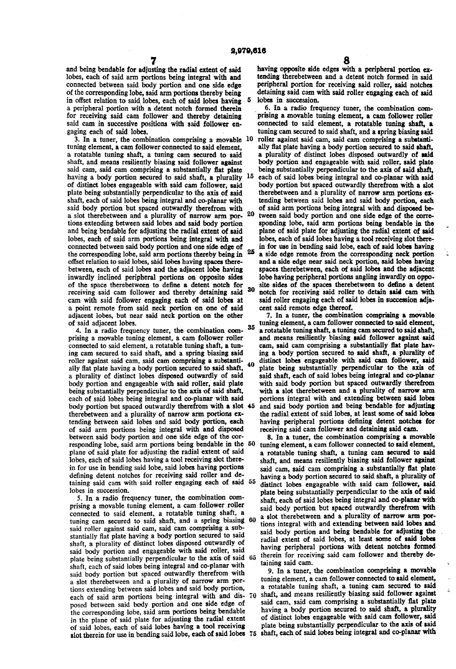and being bendable for adjusting the radial extent of said lobes, each of said arm portions being integral with and connected between said body portion and one side edge of the corresponding lobe, said arm portions thereby being<br>in offset relation to said lobes, each of said lobes having a peripheral portion with a detent notch formed therein for receiving said cam follower and thereby detaining said cam in successive positions with said follower engaging each of said lobes.

3. In a tuner, the combination comprising a movable  $10$ tuning element, a cam follower connected to said element, a rotatable tuning shaft, a tuning cam secured to said shaft, and means resiliently biasing said follower against said cam, said cam comprising a substantially flat plate having a body portion secured to said shaft, a plurality of distinct lobes engageable with said cam follower, said plate being substantially perpendicular to the axis of said shaft, each of said lobes being integral and co-planar with said body portion but spaced outwardly therefrom with a slot therebetween and a plurality of narrow arm portions extending between said lobes and said body portion and being bendable for adjusting the radial extent of said lobes, each of said arm portions being integral with and connected between said body portion and one side edge of<br>the common line lake said any neutrino there is the 25 the corresponding lobe, said arm portions thereby being in offset relation to said lobes, said lobes having spaces there between, each of said lobes and the adjacent lobe having inwardly inclined peripheral portions on opposite sides of the space therebetween to define a detent notch for receiving said cam follower and thereby detaining said cam with said follower engaging each of said lobes at a point remote from said neck portion on one of said adjacent lobes, but near said neck portion on the other of said adjacent lobes. 15

4. In a radio frequency tuner, the combination com prising a movable tuning element, a cam follower roller connected to said element, a rotatable tuning shaft, a tun ing cam secured to said shaft, and a spring biasing said roller against said cam, said cam comprising a substanti ally ñat plate having a body portion secured to said shaft, a plurality of distinct lobes disposed outwardly of said body portion and engageable with said roller, said plate being substantially perpendicular to the axis of said shaft, each of said lobes being integral and co-planar with said body portion but spaced outwardly therefrom with a slot 45 therebetween and a plurality of narrow arm portions ex tending between said lobes and said body portion, each of said arm portions being integral with and disposed between said body portion and one side edge of the cor responding lobe, said arm portions being bendable in the 50 plane of said plate for adjusting the radial extent of said lobes, each of said lobes having a tool receiving slot therein for use in bending said lobe, said lobes having portions defining detent notches for receiving said roller and de taining said cam with said roller engaging each of said 55 lobes in succession. 35

5. In a radio frequency tuner, the combination com prising a movable tuning element, a cam follower roller connected to said element, a rotatable tuning shaft, a connected to said element, a rotatable tuning shaft, a tuning cam secured to said shaft, and a spring biasing 60 said roller against said cam, said cam comprising a sub stantially ñat plate having a body portion secured to said shaft, a plurality of distinct lobes disposed outwardly of said body portion and engageable with said roller, said plate being substantially perpendicular to the axis of said shaft, each of said lobes being integral and co-planar with said body portion but spaced outwardly therefrom with a slot therebetween and a plurality of narrow arm portions extending between said lobes and said body portion, each of said arm portions being integral with and dis- 70 posed between said body portion and one side edge of the corresponding lobe, said arm portions being bendable in the plane of said plate for adjusting the radial extent of said lobes, each of said lobes having a tool receiving slot therein for use in bending said lobe, each of said lobes 75

having opposite side edges with a peripheral portion ex tending therebetween and a detent notch formed in said peripheral portion for receiving said roller, said notches detaining said cam with said roller engaging each of said lobes in succession.

20 30 6. In a radio frequency tuner, the combination com prising a movable tuning element, a cam follower roller connected to said element, a rotatable tuning shaft, a tuning cam secured to said shaft, and a spring biasing said roller against said cam, said cam comprising a substanti ally flat plate having a body portion secured to said shaft, a plurality of distinct lobes disposed outwardly of said body portion and engageable with said roller, said plate being substantially perpendicular to the axis of said shaft, each of said lobes being integral and co-planar with said body portion but spaced outwardly therefrom with a slot therebetween and a plurality of narrow arm portions ex tending between said lobes and said body portion, each of said arm portions being integral with and disposed be tween said body portion and one side edge of the corre sponding lobe, said arm portions being bendable in the plane of said plate for adjusting the radial extent of said lobes, each of said lobes having a tool receiving slot there in for use in bending said lobe, each of said lobes having a side edge remote from the corresponding neck portion and a side edge near said neck portion, said lobes having spaces therebetween, each of said lobes and the adjacent lobe having peripheral portions angling inwardly on oppo site sides of the spaces therebetween to define a detent notch for receiving said roller to detain said cam with said roller engaging each of said lobes in succession adjacent said remote edge thereof.

7. In a tuner, the combination comprising a movable tuning element, a cam follower connected to said element, a rotatable tuning shaft, a tuning cam secured to said shaft, and means resiliently biasing said follower against said cam, said cam comprising a substantially flat plate having a body portion secured to said shaft, a plurality of distinct lobes engageable with said cam follower, said plate being substantially perpendicular to the axis of said shaft, each of said lobes being integral and co-planar with said body portion but spaced outwardly therefrom with a slot therebetween and a plurality of narrow arm portions integral with and extending between said lobes and said body portion and being bendable for adjusting the radial extent of said lobes, at least some of said lobes having peripheral portions defining detent notches for receiving said cam follower and detaining said cam.

8. In a tuner, the combination comprising a movable tuning element, a cam follower connected to said element, a rotatable tuning shaft, a tuning cam secured to said shaft, and means resiliently biasing said follower against said cam, said cam comprising a substantially ñat plate having a body portion secured to said shaft, a plurality of distinct lobes engageable with said cam follower, said plate being substantially perpendicular to the axis of said shaft, each of said lobes being integral and co-planar with said body portion but spaced outwardly therefrom with a slot therebetween and a plurality of narrow arm portions integral with and extending between said lobes and said body portion and being bendable for adjusting the radial extent of said lobes, at least some of said lobes having peripheral portions with detent notches formed therein for receiving said cam follower and thereby de taining saìd cam.

9. In a tuner, the combination comprising a movable tuning element, a cam follower connected to said element. a rotatable tuning shaft, a tuning cam secured to said shaft, and means resiliently biasing said follower against said cam, said cam comprising a substantially fiat plate having a body portion secured to said shaft, a plurality of distinct lobes engageable with said cam follower, said plate being substantially perpendicular to the axis of said shaft, each of said lobes being integral and co-planar with